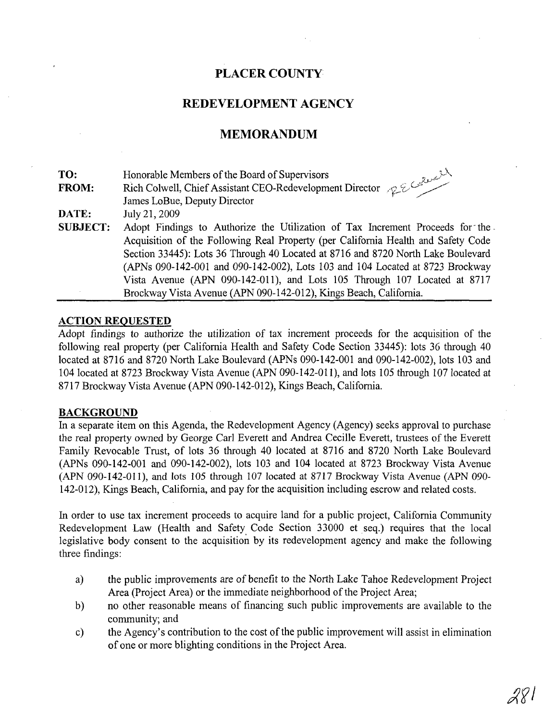## **PLACER COUNTY**

### REDEVELOPMENT AGENCY

## **MEMORANDUM**

| TO:             |                                                                                   |
|-----------------|-----------------------------------------------------------------------------------|
| <b>FROM:</b>    | Rich Colwell, Chief Assistant CEO-Redevelopment Director 2202000                  |
|                 |                                                                                   |
| DATE:           | July 21, 2009                                                                     |
| <b>SUBJECT:</b> | Adopt Findings to Authorize the Utilization of Tax Increment Proceeds for the     |
|                 | Acquisition of the Following Real Property (per California Health and Safety Code |
|                 | Section 33445): Lots 36 Through 40 Located at 8716 and 8720 North Lake Boulevard  |
|                 | (APNs 090-142-001 and 090-142-002), Lots 103 and 104 Located at 8723 Brockway     |
|                 | Vista Avenue (APN 090-142-011), and Lots 105 Through 107 Located at 8717          |
|                 | Brockway Vista Avenue (APN 090-142-012), Kings Beach, California.                 |

#### **ACTION REQUESTED**

Adopt findings to authorize the utilization of tax increment proceeds for the acquisition of the following real property (per California Health and Safety Code Section 33445): lots 36 through 40 located at 8716 and 8720 North Lake Boulevard (APNs 090-142-001 and 090-142-002), lots 103 and 104 located at 8723 Brockway Vista Avenue (APN 090-142-011), and lots 105 through 10710cated at 8717 Brockway Vista Avenue (APN 090-142-012), Kings Beach, California.

#### **BACKGROUND**

In a separate item on this Agenda, the Redevelopment Agency (Agency) seeks approval to purchase the real property owned by George Carl Everett and Andrea Cecille Everett, trustees of the Everett Family Revocable Trust, of lots 36 through 40 located at 8716 and 8720 North Lake Boulevard (APNs 090-142-001 and 090-142-002), lots 103 and 104 located at 8723 Brockway Vista Avenue (APN 090-142-011), and lots 105 through 107 located at 8717 Brockway Vista Avenue (APN 090- 142-012), Kings Beach, California, and pay for the acquisition including escrow and related costs.

In order to use tax increment proceeds to acquire land for a public project, California Community Redevelopment Law (Health and Safety Code Section 33000 et seq.) requires that the local legislative body consent to the acquisition by its redevelopment agency and make the following three findings:

- a) the public improvements are of benefit to the North Lake Tahoe Redevelopment Project Area (Project Area) or the immediate neighborhood of the Project Area;
- b) no other reasonable means of financing such public improvements are available to the community; and
- c) the Agency's contribution to the cost of the public improvement will assist in elimination of one or more blighting conditions in the Project Area.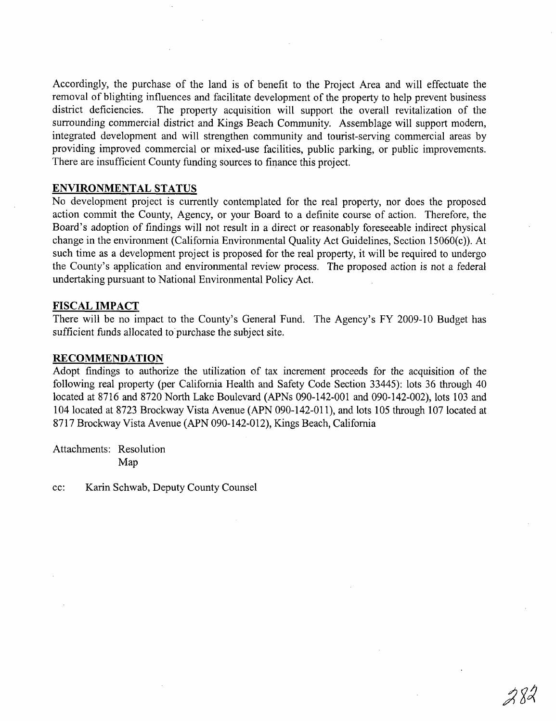Accordingly, the purchase of the land is of benefit to the Project Area and will effectuate the removal of blighting influences and facilitate development of the property to help prevent business<br>district deficiencies. The property acquisition will support the overall revitalization of the The property acquisition will support the overall revitalization of the surrounding commercial district and Kings Beach Community. Assemblage will support modern, integrated development and will strengthen community and tourist-serving commercial areas by providing improved commercial or mixed-use facilities, public parking, or public improvements. There are insufficient County funding sources to finance this project.

#### **ENVIRONMENTAL STATUS**

No development project is currently contemplated for the real property, nor does the proposed action commit the County, Agency, or your Board to a definite course of action. Therefore, the Board's adoption of findings will not result in a direct or reasonably foreseeable indirect physical change in the environment (California Environmental Quality Act Guidelines, Section 15060(c)). At such time as a development project is proposed for the real property, it will be required to undergo the County's application and environmental review process. The proposed action is not a federal undertaking pursuant to National Environmental Policy Act.

#### **FISCAL IMPACT**

There will be no impact to the County's General Fund. The Agency's FY 2009-10 Budget has sufficient funds allocated to purchase the subject site.

#### **RECOMMENDATION**

Adopt findings to authorize the utilization of tax increment proceeds for the acquisition of the following real property (per California Health and Safety Code Section 33445): lots 36 through 40 located at 8716 and 8720 North Lake Boulevard (APNs 090-142-001 and 090-142-002), lots 103 and 104 located at 8723 Brockway Vista Avenue (APN 090-142-011), and lots 105 through 107 located at 8717 Brockway Vista Avenue (APN 090-142-012), Kings Beach, California

Attachments: Resolution Map

cc: Karin Schwab, Deputy County Counsel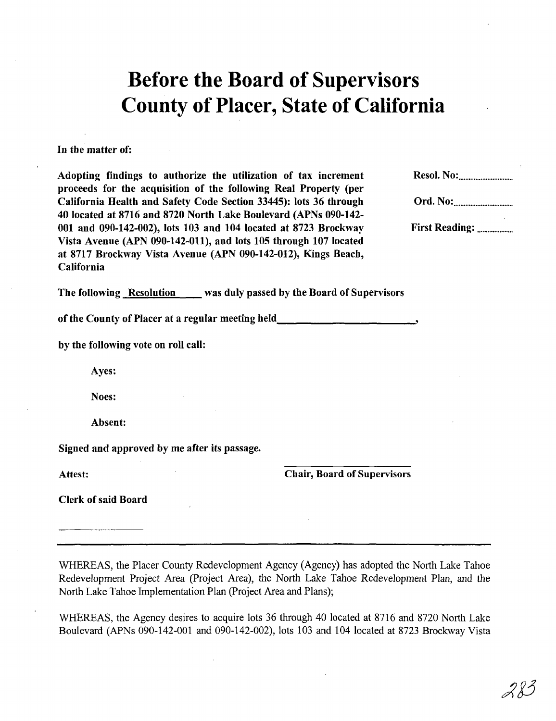## **Before the Board of Supervisors County of Placer, State of California**

#### In tbe matter of:

Adopting findings to authorize the utilization of tax increment proceeds for the acquisition of the following Real Property (per California Health and Safety Code Section 33445): lots 36 through 40 located at 8716 and 8720 North Lake Boulevard (APNs 090-142- 001 and 090-142-002), lots 103 and 104 located at 8723 Brockway Vista Avenue (APN 090-142-011), and lots 105 through 107 located at 8717 Brockway Vista Avenue (APN 090-142-012), Kings Beach, California

The following Resolution was duly passed by the Board of Supervisors

of the County of Placer at a regular meeting held

by the following vote on roll call:

Ayes:

Noes:

Absent:

Signed and approved by me after its passage.

Attest:

Chair, Board of Supervisors

Clerk of said Board

WHEREAS, the Placer County Redevelopment Agency (Agency) has adopted the North Lake Tahoe Redevelopment Project Area (Project Area), the North Lake Tahoe Redevelopment Plan, and the North Lake Tahoe Implementation Plan (Project Area and Plans);

WHEREAS, the Agency desires to acquire lots 36 through 40 located at 8716 and 8720 North Lake Boulevard (APNs 090-142-001 and 090-142-002), lots 103 and 104 located at 8723 Brockway Vista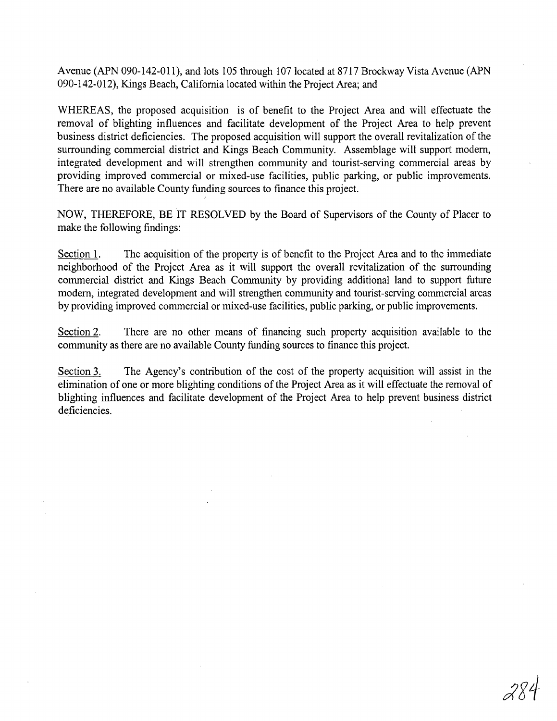Avenue (APN 090-142-011), and lots 105 through 107 located at 8717 Brockway Vista Avenue (APN 090-142-012), Kings Beach, California located within the Project Area; and

WHEREAS, the proposed acquisition is of benefit to the Project Area and will effectuate the removal of blighting influences and facilitate development of the Project Area to help prevent business district deficiencies. The proposed acquisition will support the overall revitalization of the surrounding commercial district and Kings Beach Community. Assemblage will support modem, integrated development and will strengthen community and tourist-serving commercial areas by providing improved commercial or mixed-use facilities, public parking, or public improvements. There are no available County funding sources to finance this project.

NOW, THEREFORE, BE IT RESOLVED by the Board of Supervisors of the County of Placer to make the following findings:

I

Section 1. The acquisition of the property is of benefit to the Project Area and to the immediate neighborhood of the Project Area as it will support the overall revitalization of the surrounding commercial district and Kings Beach Community by providing additional land to support future modem, integrated development and will strengthen community and tourist-serving commercial areas by providing improved commercial or mixed-use facilities, public parking, or public improvements.

Section 2. There are no other means of financing such property acquisition available to the community as there are no available County funding sources to finance this project.

Section 3. The Agency's contribution of the cost of the property acquisition will assist in the elimination of one or more blighting conditions of the Project Area as it will effectuate the removal of blighting influences and facilitate development of the Project Area to help prevent business district deficiencies.